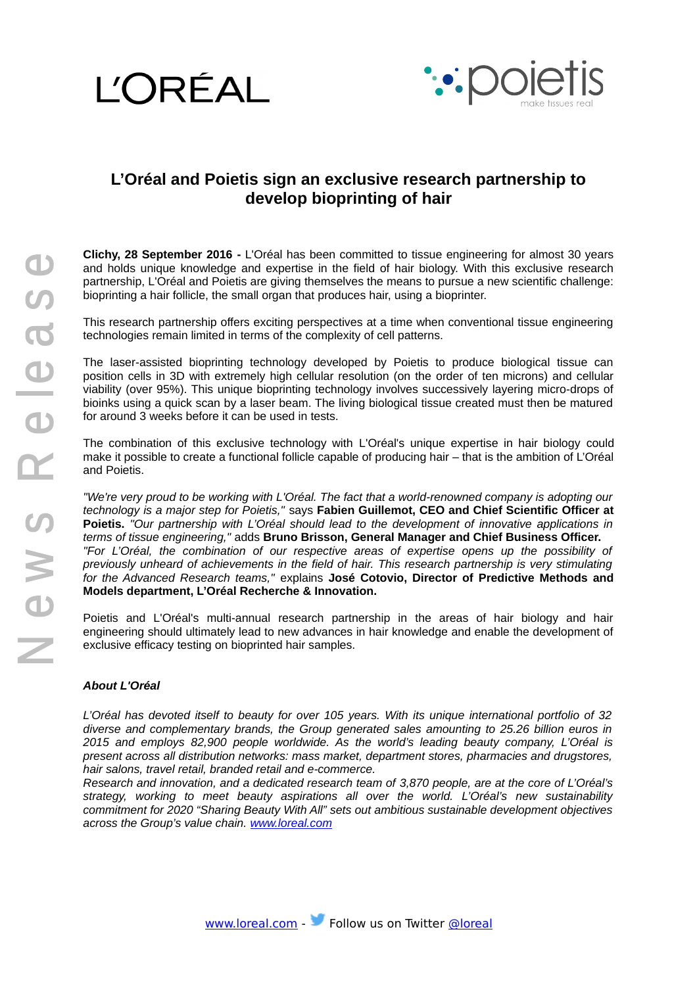



## **L'Oréal and Poietis sign an exclusive research partnership to develop bioprinting of hair**

**Clichy, 28 September 2016 -** L'Oréal has been committed to tissue engineering for almost 30 years and holds unique knowledge and expertise in the field of hair biology. With this exclusive research partnership, L'Oréal and Poietis are giving themselves the means to pursue a new scientific challenge: bioprinting a hair follicle, the small organ that produces hair, using a bioprinter.

This research partnership offers exciting perspectives at a time when conventional tissue engineering technologies remain limited in terms of the complexity of cell patterns.

The laser-assisted bioprinting technology developed by Poietis to produce biological tissue can position cells in 3D with extremely high cellular resolution (on the order of ten microns) and cellular viability (over 95%). This unique bioprinting technology involves successively layering micro-drops of bioinks using a quick scan by a laser beam. The living biological tissue created must then be matured for around 3 weeks before it can be used in tests.

The combination of this exclusive technology with L'Oréal's unique expertise in hair biology could make it possible to create a functional follicle capable of producing hair – that is the ambition of L'Oréal and Poietis.

*"We're very proud to be working with L'Oréal. The fact that a world-renowned company is adopting our technology is a major step for Poietis,"* says **Fabien Guillemot, CEO and Chief Scientific Officer at Poietis.** *"Our partnership with L'Oréal should lead to the development of innovative applications in terms of tissue engineering,"* adds **Bruno Brisson, General Manager and Chief Business Officer.** *"For L'Oréal, the combination of our respective areas of expertise opens up the possibility of previously unheard of achievements in the field of hair. This research partnership is very stimulating for the Advanced Research teams,"* explains **José Cotovio, Director of Predictive Methods and Models department, L'Oréal Recherche & Innovation.**

Poietis and L'Oréal's multi-annual research partnership in the areas of hair biology and hair engineering should ultimately lead to new advances in hair knowledge and enable the development of exclusive efficacy testing on bioprinted hair samples.

## *About L'Oréal*

*L'Oréal has devoted itself to beauty for over 105 years. With its unique international portfolio of 32 diverse and complementary brands, the Group generated sales amounting to 25.26 billion euros in 2015 and employs 82,900 people worldwide. As the world's leading beauty company, L'Oréal is present across all distribution networks: mass market, department stores, pharmacies and drugstores, hair salons, travel retail, branded retail and e-commerce.*

*Research and innovation, and a dedicated research team of 3,870 people, are at the core of L'Oréal's strategy, working to meet beauty aspirations all over the world. L'Oréal's new sustainability commitment for 2020 "Sharing Beauty With All" sets out ambitious sustainable development objectives across the Group's value chain. [www.loreal.com](http://www.loreal.com/)*